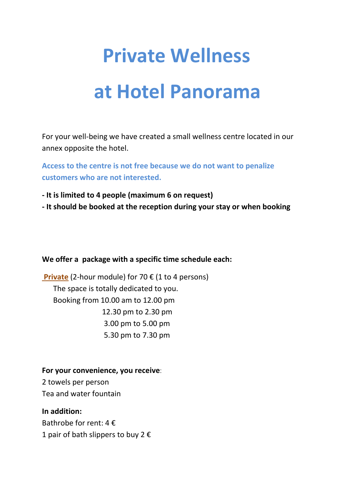# **Private Wellness**

## **at Hotel Panorama**

For your well-being we have created a small wellness centre located in our annex opposite the hotel.

**Access to the centre is not free because we do not want to penalize customers who are not interested.** 

- **It is limited to 4 people (maximum 6 on request)**
- **It should be booked at the reception during your stay or when booking**

#### **We offer a package with a specific time schedule each:**

 **Private** (2-hour module) for 70 € (1 to 4 persons) The space is totally dedicated to you. Booking from 10.00 am to 12.00 pm 12.30 pm to 2.30 pm 3.00 pm to 5.00 pm 5.30 pm to 7.30 pm

**For your convenience, you receive**: 2 towels per person Tea and water fountain

**In addition:**  Bathrobe for rent:  $4 \in$ 1 pair of bath slippers to buy 2  $\epsilon$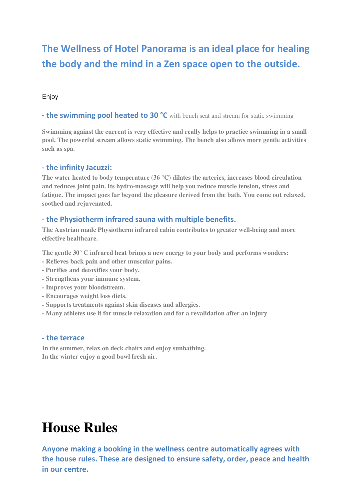### **The Wellness of Hotel Panorama is an ideal place for healing the body and the mind in a Zen space open to the outside.**

#### Enjoy

**- the swimming pool heated to 30 °C** with bench seat and stream for static swimming

**Swimming against the current is very effective and really helps to practice swimming in a small pool. The powerful stream allows static swimming. The bench also allows more gentle activities such as spa.** 

#### **- the infinity Jacuzzi:**

**The water heated to body temperature (36 °C) dilates the arteries, increases blood circulation and reduces joint pain. Its hydro-massage will help you reduce muscle tension, stress and fatigue. The impact goes far beyond the pleasure derived from the bath. You come out relaxed, soothed and rejuvenated.** 

#### **- the Physiotherm infrared sauna with multiple benefits.**

**The Austrian made Physiotherm infrared cabin contributes to greater well-being and more effective healthcare.** 

**The gentle 30° C infrared heat brings a new energy to your body and performs wonders:** 

- **Relieves back pain and other muscular pains.**
- **Purifies and detoxifies your body.**
- **Strengthens your immune system.**
- **Improves your bloodstream.**
- **Encourages weight loss diets.**
- **Supports treatments against skin diseases and allergies.**
- **Many athletes use it for muscle relaxation and for a revalidation after an injury**

#### **- the terrace**

**In the summer, relax on deck chairs and enjoy sunbathing. In the winter enjoy a good bowl fresh air.** 

## **House Rules**

**Anyone making a booking in the wellness centre automatically agrees with the house rules. These are designed to ensure safety, order, peace and health in our centre.**